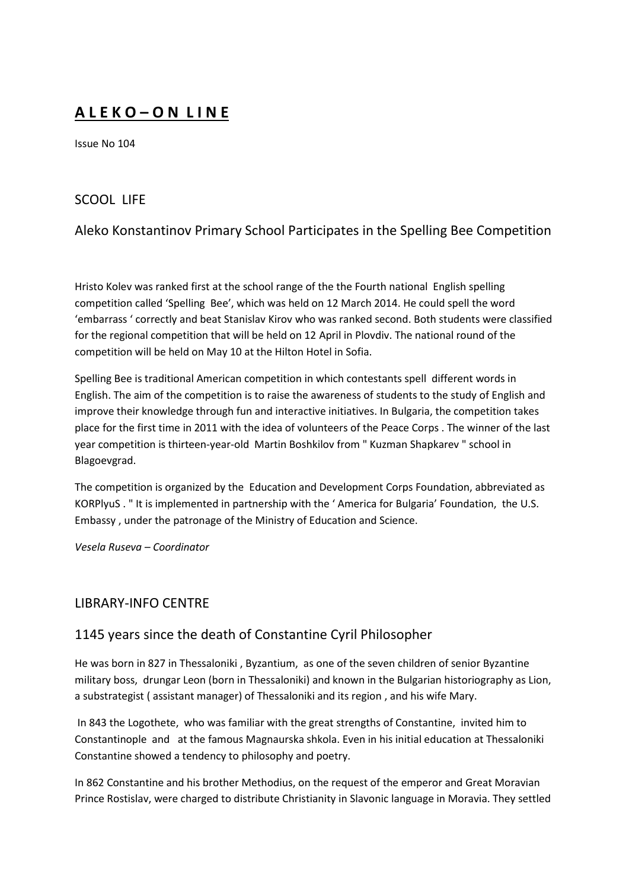# **A L E K O – O N L I N E**

Issue No 104

## SCOOL LIFE

## Aleko Konstantinov Primary School Participates in the Spelling Bee Competition

Hristo Kolev was ranked first at the school range of the the Fourth national English spelling competition called 'Spelling Bee', which was held on 12 March 2014. He could spell the word 'embarrass ' correctly and beat Stanislav Kirov who was ranked second. Both students were classified for the regional competition that will be held on 12 April in Plovdiv. The national round of the competition will be held on May 10 at the Hilton Hotel in Sofia.

Spelling Bee is traditional American competition in which contestants spell different words in English. The aim of the competition is to raise the awareness of students to the study of English and improve their knowledge through fun and interactive initiatives. In Bulgaria, the competition takes place for the first time in 2011 with the idea of volunteers of the Peace Corps . The winner of the last year competition is thirteen-year-old Martin Boshkilov from " Kuzman Shapkarev " school in Blagoevgrad.

The competition is organized by the Education and Development Corps Foundation, abbreviated as KORPlyuS . " It is implemented in partnership with the ' America for Bulgaria' Foundation, the U.S. Embassy , under the patronage of the Ministry of Education and Science.

*Vesela Ruseva – Coordinator*

## LIBRARY-INFO CENTRE

## 1145 years since the death of Constantine Cyril Philosopher

He was born in 827 in Thessaloniki , Byzantium, as one of the seven children of senior Byzantine military boss, drungar Leon (born in Thessaloniki) and known in the Bulgarian historiography as Lion, a substrategist ( assistant manager) of Thessaloniki and its region , and his wife Mary.

In 843 the Logothete, who was familiar with the great strengths of Constantine, invited him to Constantinople and at the famous Magnaurska shkola. Even in his initial education at Thessaloniki Constantine showed a tendency to philosophy and poetry.

In 862 Constantine and his brother Methodius, on the request of the emperor and Great Moravian Prince Rostislav, were charged to distribute Christianity in Slavonic language in Moravia. They settled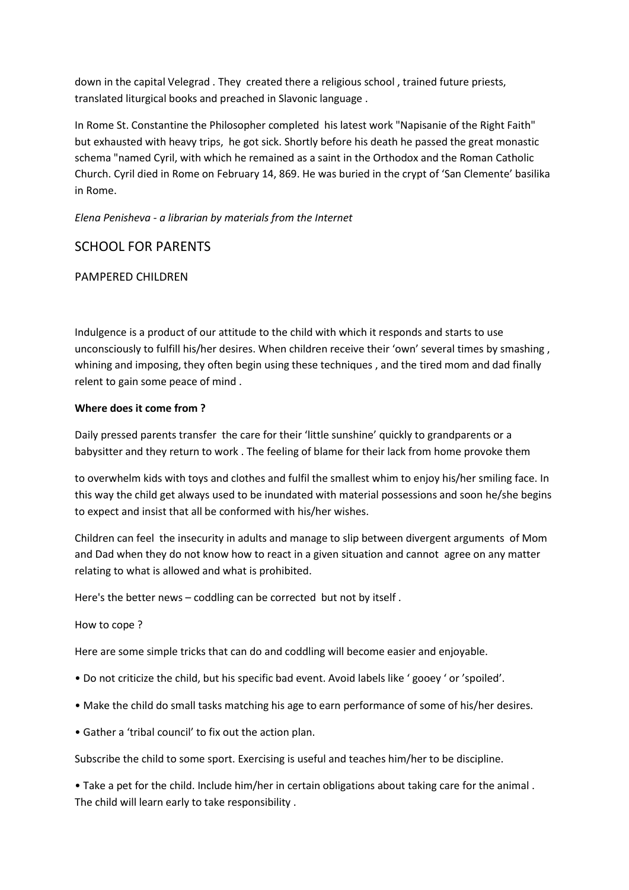down in the capital Velegrad . They created there a religious school , trained future priests, translated liturgical books and preached in Slavonic language .

In Rome St. Constantine the Philosopher completed his latest work "Napisanie of the Right Faith" but exhausted with heavy trips, he got sick. Shortly before his death he passed the great monastic schema "named Cyril, with which he remained as a saint in the Orthodox and the Roman Catholic Church. Cyril died in Rome on February 14, 869. He was buried in the crypt of 'San Clemente' basilika in Rome.

## *Elena Penisheva - a librarian by materials from the Internet*

## SCHOOL FOR PARENTS

## PAMPERED CHILDREN

Indulgence is a product of our attitude to the child with which it responds and starts to use unconsciously to fulfill his/her desires. When children receive their 'own' several times by smashing , whining and imposing, they often begin using these techniques , and the tired mom and dad finally relent to gain some peace of mind .

#### **Where does it come from ?**

Daily pressed parents transfer the care for their 'little sunshine' quickly to grandparents or a babysitter and they return to work . The feeling of blame for their lack from home provoke them

to overwhelm kids with toys and clothes and fulfil the smallest whim to enjoy his/her smiling face. In this way the child get always used to be inundated with material possessions and soon he/she begins to expect and insist that all be conformed with his/her wishes.

Children can feel the insecurity in adults and manage to slip between divergent arguments of Mom and Dad when they do not know how to react in a given situation and cannot agree on any matter relating to what is allowed and what is prohibited.

Here's the better news – coddling can be corrected but not by itself .

How to cope ?

Here are some simple tricks that can do and coddling will become easier and enjoyable.

- Do not criticize the child, but his specific bad event. Avoid labels like ' gooey ' or 'spoiled'.
- Make the child do small tasks matching his age to earn performance of some of his/her desires.
- Gather a 'tribal council' to fix out the action plan.

Subscribe the child to some sport. Exercising is useful and teaches him/her to be discipline.

• Take a pet for the child. Include him/her in certain obligations about taking care for the animal . The child will learn early to take responsibility .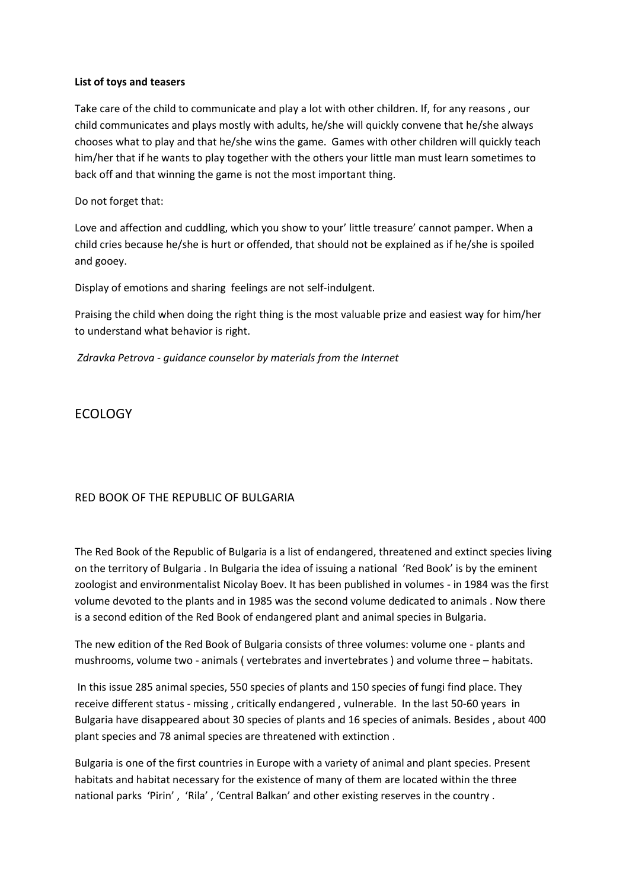#### **List of toys and teasers**

Take care of the child to communicate and play a lot with other children. If, for any reasons , our child communicates and plays mostly with adults, he/she will quickly convene that he/she always chooses what to play and that he/she wins the game. Games with other children will quickly teach him/her that if he wants to play together with the others your little man must learn sometimes to back off and that winning the game is not the most important thing.

Do not forget that:

Love and affection and cuddling, which you show to your' little treasure' cannot pamper. When a child cries because he/she is hurt or offended, that should not be explained as if he/she is spoiled and gooey.

Display of emotions and sharing feelings are not self-indulgent.

Praising the child when doing the right thing is the most valuable prize and easiest way for him/her to understand what behavior is right.

*Zdravka Petrova - guidance counselor by materials from the Internet*

ECOLOGY

## RED BOOK OF THE REPUBLIC OF BULGARIA

The Red Book of the Republic of Bulgaria is a list of endangered, threatened and extinct species living on the territory of Bulgaria . In Bulgaria the idea of issuing a national 'Red Book' is by the eminent zoologist and environmentalist Nicolay Boev. It has been published in volumes - in 1984 was the first volume devoted to the plants and in 1985 was the second volume dedicated to animals . Now there is a second edition of the Red Book of endangered plant and animal species in Bulgaria.

The new edition of the Red Book of Bulgaria consists of three volumes: volume one - plants and mushrooms, volume two - animals ( vertebrates and invertebrates ) and volume three – habitats.

In this issue 285 animal species, 550 species of plants and 150 species of fungi find place. They receive different status - missing , critically endangered , vulnerable. In the last 50-60 years in Bulgaria have disappeared about 30 species of plants and 16 species of animals. Besides , about 400 plant species and 78 animal species are threatened with extinction .

Bulgaria is one of the first countries in Europe with a variety of animal and plant species. Present habitats and habitat necessary for the existence of many of them are located within the three national parks 'Pirin' , 'Rila' , 'Central Balkan' and other existing reserves in the country .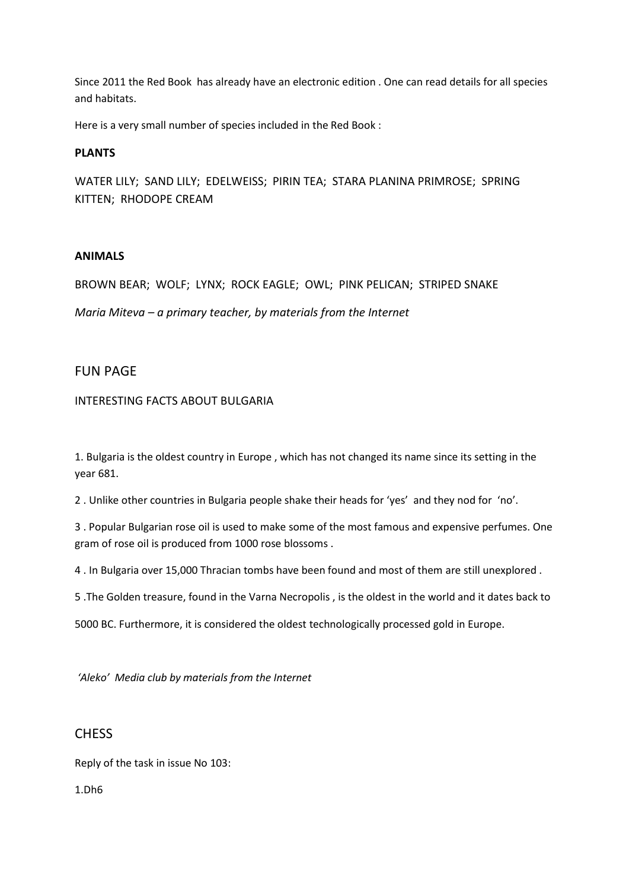Since 2011 the Red Book has already have an electronic edition . One can read details for all species and habitats.

Here is a very small number of species included in the Red Book :

### **PLANTS**

WATER LILY; SAND LILY; EDELWEISS; PIRIN TEA; STARA PLANINA PRIMROSE; SPRING KITTEN; RHODOPE CREAM

#### **ANIMALS**

BROWN BEAR; WOLF; LYNX; ROCK EAGLE; OWL; PINK PELICAN; STRIPED SNAKE

*Maria Miteva – a primary teacher, by materials from the Internet*

## FUN PAGE

INTERESTING FACTS ABOUT BULGARIA

1. Bulgaria is the oldest country in Europe , which has not changed its name since its setting in the year 681.

2 . Unlike other countries in Bulgaria people shake their heads for 'yes' and they nod for 'no'.

3 . Popular Bulgarian rose oil is used to make some of the most famous and expensive perfumes. One gram of rose oil is produced from 1000 rose blossoms .

4 . In Bulgaria over 15,000 Thracian tombs have been found and most of them are still unexplored .

5 .The Golden treasure, found in the Varna Necropolis , is the oldest in the world and it dates back to

5000 BC. Furthermore, it is considered the oldest technologically processed gold in Europe.

*'Aleko' Media club by materials from the Internet*

## **CHESS**

Reply of the task in issue No 103:

1.Dh6